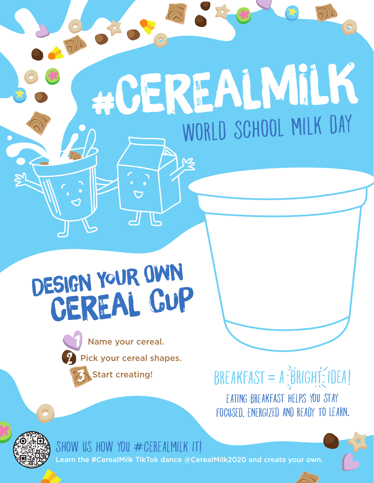## #CEREALMILK

## DeSIgN yOUr OwN CeREaL cUP

Name your cereal. Pick your cereal shapes. Start creating!

 $BREAKFAST = A \frac{2}{3}BRIGHI \frac{2}{3} IDEAI$ EATING BREAKFAST HELPS YOU STAY FOCUSED, ENERGIZED AND READY TO LEARN.



SHOW US HOW YOU  $\#$ CEREALMILK ITI #CerealMilk TikTok dance @CerealMilk2020 and create your own.